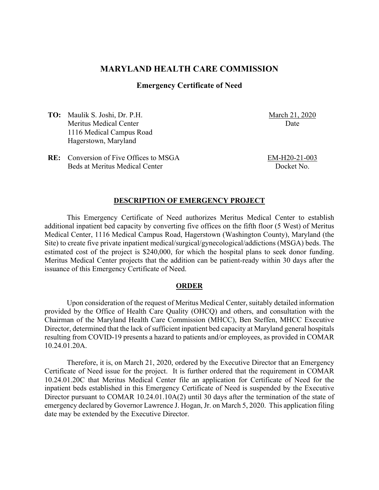# **MARYLAND HEALTH CARE COMMISSION**

## **Emergency Certificate of Need**

**TO:** Maulik S. Joshi, Dr. P.H. Meritus Medical Center 1116 Medical Campus Road Hagerstown, Maryland

March 21, 2020 Date

**RE:** Conversion of Five Offices to MSGA Beds at Meritus Medical Center

EM-H20-21-003 Docket No.

#### **DESCRIPTION OF EMERGENCY PROJECT**

This Emergency Certificate of Need authorizes Meritus Medical Center to establish additional inpatient bed capacity by converting five offices on the fifth floor (5 West) of Meritus Medical Center, 1116 Medical Campus Road, Hagerstown (Washington County), Maryland (the Site) to create five private inpatient medical/surgical/gynecological/addictions (MSGA) beds. The estimated cost of the project is \$240,000, for which the hospital plans to seek donor funding. Meritus Medical Center projects that the addition can be patient-ready within 30 days after the issuance of this Emergency Certificate of Need.

### **ORDER**

Upon consideration of the request of Meritus Medical Center, suitably detailed information provided by the Office of Health Care Quality (OHCQ) and others, and consultation with the Chairman of the Maryland Health Care Commission (MHCC), Ben Steffen, MHCC Executive Director, determined that the lack of sufficient inpatient bed capacity at Maryland general hospitals resulting from COVID-19 presents a hazard to patients and/or employees, as provided in COMAR 10.24.01.20A.

Therefore, it is, on March 21, 2020, ordered by the Executive Director that an Emergency Certificate of Need issue for the project. It is further ordered that the requirement in COMAR 10.24.01.20C that Meritus Medical Center file an application for Certificate of Need for the inpatient beds established in this Emergency Certificate of Need is suspended by the Executive Director pursuant to COMAR 10.24.01.10A(2) until 30 days after the termination of the state of emergency declared by Governor Lawrence J. Hogan, Jr. on March 5, 2020. This application filing date may be extended by the Executive Director.